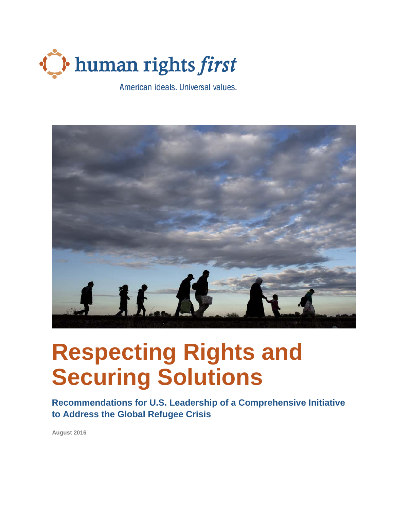

American ideals. Universal values.



# **Respecting Rights and Securing Solutions**

**Recommendations for U.S. Leadership of a Comprehensive Initiative to Address the Global Refugee Crisis**

**August 2016**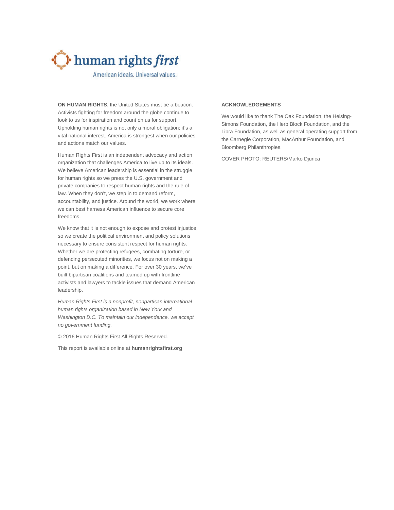

American ideals. Universal values.

**ON HUMAN RIGHTS**, the United States must be a beacon. Activists fighting for freedom around the globe continue to look to us for inspiration and count on us for support. Upholding human rights is not only a moral obligation; it's a vital national interest. America is strongest when our policies and actions match our values.

Human Rights First is an independent advocacy and action organization that challenges America to live up to its ideals. We believe American leadership is essential in the struggle for human rights so we press the U.S. government and private companies to respect human rights and the rule of law. When they don't, we step in to demand reform, accountability, and justice. Around the world, we work where we can best harness American influence to secure core freedoms.

We know that it is not enough to expose and protest injustice, so we create the political environment and policy solutions necessary to ensure consistent respect for human rights. Whether we are protecting refugees, combating torture, or defending persecuted minorities, we focus not on making a point, but on making a difference. For over 30 years, we've built bipartisan coalitions and teamed up with frontline activists and lawyers to tackle issues that demand American leadership.

*Human Rights First is a nonprofit, nonpartisan international human rights organization based in New York and Washington D.C. To maintain our independence, we accept no government funding.*

© 2016 Human Rights First All Rights Reserved.

This report is available online at **[humanrightsfirst.org](http://www.humanrightsfirst.org/)**

#### **ACKNOWLEDGEMENTS**

We would like to thank The Oak Foundation, the Heising-Simons Foundation, the Herb Block Foundation, and the Libra Foundation, as well as general operating support from the Carnegie Corporation, MacArthur Foundation, and Bloomberg Philanthropies.

COVER PHOTO: REUTERS/Marko Djurica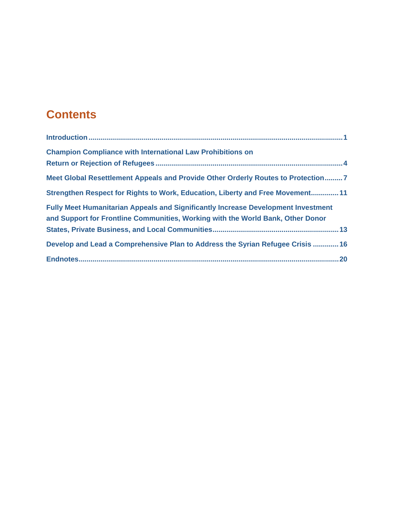# **Contents**

| <b>Champion Compliance with International Law Prohibitions on</b>                                                                                                           |
|-----------------------------------------------------------------------------------------------------------------------------------------------------------------------------|
| Meet Global Resettlement Appeals and Provide Other Orderly Routes to Protection7                                                                                            |
| Strengthen Respect for Rights to Work, Education, Liberty and Free Movement 11                                                                                              |
| <b>Fully Meet Humanitarian Appeals and Significantly Increase Development Investment</b><br>and Support for Frontline Communities, Working with the World Bank, Other Donor |
| Develop and Lead a Comprehensive Plan to Address the Syrian Refugee Crisis  16                                                                                              |
|                                                                                                                                                                             |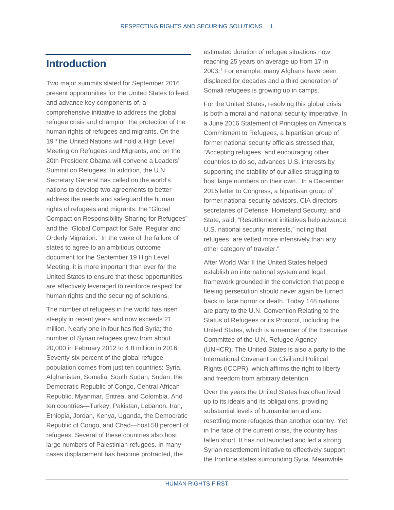#### <span id="page-4-0"></span>**Introduction**

Two major summits slated for September 2016 present opportunities for the United States to lead, and advance key components of, a comprehensive initiative to address the global refugee crisis and champion the protection of the human rights of refugees and migrants. On the 19<sup>th</sup> the United Nations will hold a High Level Meeting on Refugees and Migrants, and on the 20th President Obama will convene a Leaders' Summit on Refugees. In addition, the U.N. Secretary General has called on the world's nations to develop two agreements to better address the needs and safeguard the human rights of refugees and migrants: the "Global Compact on Responsibility-Sharing for Refugees" and the "Global Compact for Safe, Regular and Orderly Migration." In the wake of the failure of states to agree to an ambitious outcome document for the September 19 High Level Meeting, it is more important than ever for the United States to ensure that these opportunities are effectively leveraged to reinforce respect for human rights and the securing of solutions.

The number of refugees in the world has risen steeply in recent years and now exceeds 21 million. Nearly one in four has fled Syria; the number of Syrian refugees grew from about 20,000 in February 2012 to 4.8 million in 2016. Seventy-six percent of the global refugee population comes from just ten countries: Syria, Afghanistan, Somalia, South Sudan, Sudan, the Democratic Republic of Congo, Central African Republic, Myanmar, Eritrea, and Colombia. And ten countries—Turkey, Pakistan, Lebanon, Iran, Ethiopia, Jordan, Kenya, Uganda, the Democratic Republic of Congo, and Chad—host 58 percent of refugees. Several of these countries also host large numbers of Palestinian refugees. In many cases displacement has become protracted, the

estimated duration of refugee situations now reaching 25 years on average up from 17 in 2003.[1](#page-23-1) For example, many Afghans have been displaced for decades and a third generation of Somali refugees is growing up in camps.

For the United States, resolving this global crisis is both a moral and national security imperative. In a June 2016 Statement of Principles on America's Commitment to Refugees, a bipartisan group of former national security officials stressed that, "Accepting refugees, and encouraging other countries to do so, advances U.S. interests by supporting the stability of our allies struggling to host large numbers on their own." In a December 2015 letter to Congress, a bipartisan group of former national security advisors, CIA directors, secretaries of Defense, Homeland Security, and State, said, "Resettlement initiatives help advance U.S. national security interests," noting that refugees "are vetted more intensively than any other category of traveler."

After World War II the United States helped establish an international system and legal framework grounded in the conviction that people fleeing persecution should never again be turned back to face horror or death. Today 148 nations are party to the U.N. Convention Relating to the Status of Refugees or its Protocol, including the United States, which is a member of the Executive Committee of the U.N. Refugee Agency (UNHCR). The United States is also a party to the International Covenant on Civil and Political Rights (ICCPR), which affirms the right to liberty and freedom from arbitrary detention.

Over the years the United States has often lived up to its ideals and its obligations, providing substantial levels of humanitarian aid and resettling more refugees than another country. Yet in the face of the current crisis, the country has fallen short. It has not launched and led a strong Syrian resettlement initiative to effectively support the frontline states surrounding Syria. Meanwhile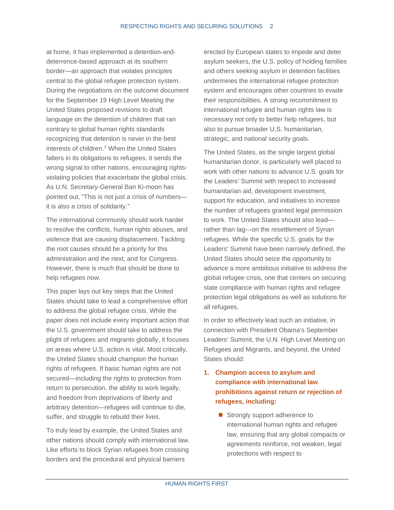at home, it has implemented a detention-anddeterrence-based approach at its southern border—an approach that violates principles central to the global refugee protection system. During the negotiations on the outcome document for the September 19 High Level Meeting the United States proposed revisions to draft language on the detention of children that ran contrary to global human rights standards recognizing that detention is never in the best interests of children.[2](#page-23-2) When the United States falters in its obligations to refugees, it sends the wrong signal to other nations, encouraging rightsviolating policies that exacerbate the global crisis. As U.N. Secretary-General Ban Ki-moon has pointed out, "This is not just a crisis of numbers it is also a crisis of solidarity."

The international community should work harder to resolve the conflicts, human rights abuses, and violence that are causing displacement. Tackling the root causes should be a priority for this administration and the next, and for Congress. However, there is much that should be done to help refugees now.

This paper lays out key steps that the United States should take to lead a comprehensive effort to address the global refugee crisis. While the paper does not include every important action that the U.S. government should take to address the plight of refugees and migrants globally, it focuses on areas where U.S. action is vital. Most critically, the United States should champion the human rights of refugees. If basic human rights are not secured—including the rights to protection from return to persecution, the ability to work legally, and freedom from deprivations of liberty and arbitrary detention—refugees will continue to die, suffer, and struggle to rebuild their lives.

To truly lead by example, the United States and other nations should comply with international law. Like efforts to block Syrian refugees from crossing borders and the procedural and physical barriers

erected by European states to impede and deter asylum seekers, the U.S. policy of holding families and others seeking asylum in detention facilities undermines the international refugee protection system and encourages other countries to evade their responsibilities. A strong recommitment to international refugee and human rights law is necessary not only to better help refugees, but also to pursue broader U.S. humanitarian, strategic, and national security goals.

The United States, as the single largest global humanitarian donor, is particularly well placed to work with other nations to advance U.S. goals for the Leaders' Summit with respect to increased humanitarian aid, development investment, support for education, and initiatives to increase the number of refugees granted legal permission to work. The United States should also lead rather than lag—on the resettlement of Syrian refugees. While the specific U.S. goals for the Leaders' Summit have been narrowly defined, the United States should seize the opportunity to advance a more ambitious initiative to address the global refugee crisis, one that centers on securing state compliance with human rights and refugee protection legal obligations as well as solutions for all refugees.

In order to effectively lead such an initiative, in connection with President Obama's September Leaders' Summit, the U.N. High Level Meeting on Refugees and Migrants, and beyond, the United States should:

#### **1. Champion access to asylum and compliance with international law prohibitions against return or rejection of refugees, including:**

Strongly support adherence to international human rights and refugee law, ensuring that any global compacts or agreements reinforce, not weaken, legal protections with respect to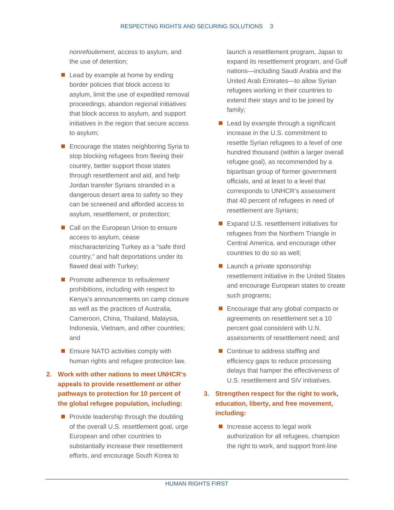*nonrefoulement*, access to asylum, and the use of detention;

- $\blacksquare$  Lead by example at home by ending border policies that block access to asylum, limit the use of expedited removal proceedings, abandon regional initiatives that block access to asylum, and support initiatives in the region that secure access to asylum;
- Encourage the states neighboring Syria to stop blocking refugees from fleeing their country, better support those states through resettlement and aid, and help Jordan transfer Syrians stranded in a dangerous desert area to safety so they can be screened and afforded access to asylum, resettlement, or protection;
- Call on the European Union to ensure access to asylum, cease mischaracterizing Turkey as a "safe third country," and halt deportations under its flawed deal with Turkey;
- Promote adherence to *refoulement* prohibitions, including with respect to Kenya's announcements on camp closure as well as the practices of Australia, Cameroon, China, Thailand, Malaysia, Indonesia, Vietnam, and other countries; and
- **Ensure NATO activities comply with** human rights and refugee protection law.
- **2. Work with other nations to meet UNHCR's appeals to provide resettlement or other pathways to protection for 10 percent of the global refugee population, including:** 
	- **Provide leadership through the doubling** of the overall U.S. resettlement goal, urge European and other countries to substantially increase their resettlement efforts, and encourage South Korea to

launch a resettlement program, Japan to expand its resettlement program, and Gulf nations—including Saudi Arabia and the United Arab Emirates—to allow Syrian refugees working in their countries to extend their stays and to be joined by family;

- $\blacksquare$  Lead by example through a significant increase in the U.S. commitment to resettle Syrian refugees to a level of one hundred thousand (within a larger overall refugee goal), as recommended by a bipartisan group of former government officials, and at least to a level that corresponds to UNHCR's assessment that 40 percent of refugees in need of resettlement are Syrians;
- Expand U.S. resettlement initiatives for refugees from the Northern Triangle in Central America, and encourage other countries to do so as well;
- **Launch a private sponsorship** resettlement initiative in the United States and encourage European states to create such programs;
- Encourage that any global compacts or agreements on resettlement set a 10 percent goal consistent with U.N. assessments of resettlement need; and
- Continue to address staffing and efficiency gaps to reduce processing delays that hamper the effectiveness of U.S. resettlement and SIV initiatives.

#### **3. Strengthen respect for the right to work, education, liberty, and free movement, including:**

 $\blacksquare$  Increase access to legal work authorization for all refugees, champion the right to work, and support front-line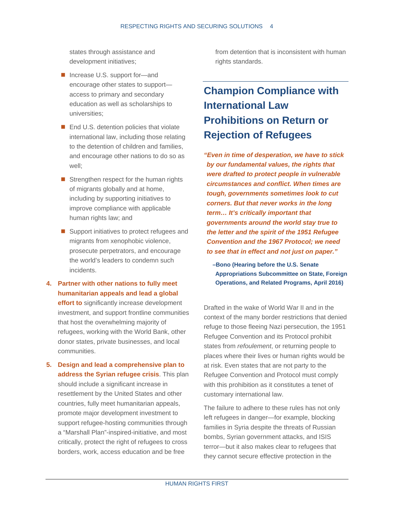states through assistance and development initiatives;

- Increase U.S. support for—and encourage other states to support access to primary and secondary education as well as scholarships to universities;
- End U.S. detention policies that violate international law, including those relating to the detention of children and families, and encourage other nations to do so as well;
- $\blacksquare$  Strengthen respect for the human rights of migrants globally and at home, including by supporting initiatives to improve compliance with applicable human rights law; and
- Support initiatives to protect refugees and migrants from xenophobic violence, prosecute perpetrators, and encourage the world's leaders to condemn such incidents.
- **4. Partner with other nations to fully meet humanitarian appeals and lead a global effort to** significantly increase development investment, and support frontline communities that host the overwhelming majority of refugees, working with the World Bank, other donor states, private businesses, and local communities.
- **5. Design and lead a comprehensive plan to address the Syrian refugee crisis**. This plan should include a significant increase in resettlement by the United States and other countries, fully meet humanitarian appeals, promote major development investment to support refugee-hosting communities through a "Marshall Plan"-inspired-initiative, and most critically, protect the right of refugees to cross borders, work, access education and be free

from detention that is inconsistent with human rights standards.

### <span id="page-7-0"></span>**Champion Compliance with International Law Prohibitions on Return or Rejection of Refugees**

*"Even in time of desperation, we have to stick by our fundamental values, the rights that were drafted to protect people in vulnerable circumstances and conflict. When times are tough, governments sometimes look to cut corners. But that never works in the long term… It's critically important that governments around the world stay true to the letter and the spirit of the 1951 Refugee Convention and the 1967 Protocol; we need to see that in effect and not just on paper."* 

**–Bono (Hearing before the U.S. Senate Appropriations Subcommittee on State, Foreign Operations, and Related Programs, April 2016)**

Drafted in the wake of World War II and in the context of the many border restrictions that denied refuge to those fleeing Nazi persecution, the 1951 Refugee Convention and its Protocol prohibit states from *refoulement*, or returning people to places where their lives or human rights would be at risk. Even states that are not party to the Refugee Convention and Protocol must comply with this prohibition as it constitutes a tenet of customary international law.

The failure to adhere to these rules has not only left refugees in danger—for example, blocking families in Syria despite the threats of Russian bombs, Syrian government attacks, and ISIS terror—but it also makes clear to refugees that they cannot secure effective protection in the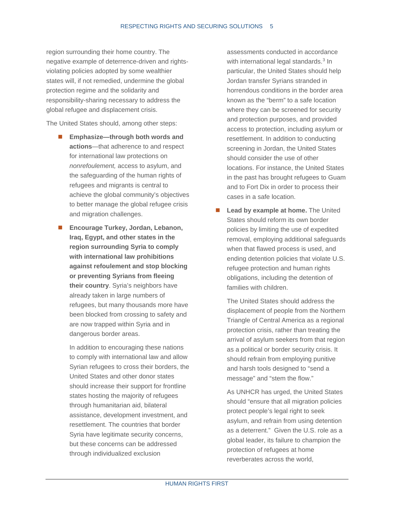region surrounding their home country. The negative example of deterrence-driven and rightsviolating policies adopted by some wealthier states will, if not remedied, undermine the global protection regime and the solidarity and responsibility-sharing necessary to address the global refugee and displacement crisis.

The United States should, among other steps:

- **Emphasize—through both words and actions**—that adherence to and respect for international law protections on *nonrefoulement,* access to asylum, and the safeguarding of the human rights of refugees and migrants is central to achieve the global community's objectives to better manage the global refugee crisis and migration challenges.
- Encourage Turkey, Jordan, Lebanon, **Iraq, Egypt, and other states in the region surrounding Syria to comply with international law prohibitions against refoulement and stop blocking or preventing Syrians from fleeing their country**. Syria's neighbors have already taken in large numbers of refugees, but many thousands more have been blocked from crossing to safety and are now trapped within Syria and in dangerous border areas.

In addition to encouraging these nations to comply with international law and allow Syrian refugees to cross their borders, the United States and other donor states should increase their support for frontline states hosting the majority of refugees through humanitarian aid, bilateral assistance, development investment, and resettlement. The countries that border Syria have legitimate security concerns, but these concerns can be addressed through individualized exclusion

assessments conducted in accordance with international legal standards.<sup>[3](#page-23-3)</sup> In particular, the United States should help Jordan transfer Syrians stranded in horrendous conditions in the border area known as the "berm" to a safe location where they can be screened for security and protection purposes, and provided access to protection, including asylum or resettlement. In addition to conducting screening in Jordan, the United States should consider the use of other locations. For instance, the United States in the past has brought refugees to Guam and to Fort Dix in order to process their cases in a safe location.

**Lead by example at home.** The United States should reform its own border policies by limiting the use of expedited removal, employing additional safeguards when that flawed process is used, and ending detention policies that violate U.S. refugee protection and human rights obligations, including the detention of families with children.

The United States should address the displacement of people from the Northern Triangle of Central America as a regional protection crisis, rather than treating the arrival of asylum seekers from that region as a political or border security crisis. It should refrain from employing punitive and harsh tools designed to "send a message" and "stem the flow."

As UNHCR has urged, the United States should "ensure that all migration policies protect people's legal right to seek asylum, and refrain from using detention as a deterrent." Given the U.S. role as a global leader, its failure to champion the protection of refugees at home reverberates across the world,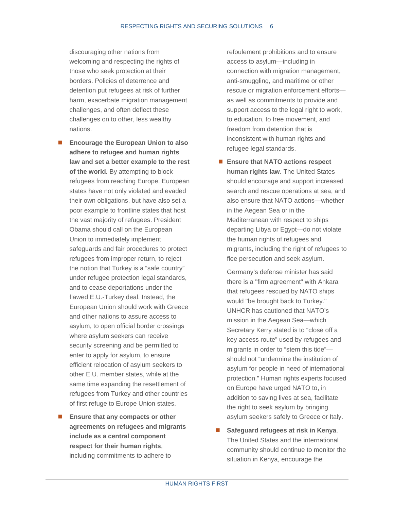discouraging other nations from welcoming and respecting the rights of those who seek protection at their borders. Policies of deterrence and detention put refugees at risk of further harm, exacerbate migration management challenges, and often deflect these challenges on to other, less wealthy nations.

- **Encourage the European Union to also adhere to refugee and human rights law and set a better example to the rest of the world.** By attempting to block refugees from reaching Europe, European states have not only violated and evaded their own obligations, but have also set a poor example to frontline states that host the vast majority of refugees. President Obama should call on the European Union to immediately implement safeguards and fair procedures to protect refugees from improper return, to reject the notion that Turkey is a "safe country" under refugee protection legal standards, and to cease deportations under the flawed E.U.-Turkey deal. Instead, the European Union should work with Greece and other nations to assure access to asylum, to open official border crossings where asylum seekers can receive security screening and be permitted to enter to apply for asylum, to ensure efficient relocation of asylum seekers to other E.U. member states, while at the same time expanding the resettlement of refugees from Turkey and other countries of first refuge to Europe Union states.
- **Ensure that any compacts or other agreements on refugees and migrants include as a central component respect for their human rights**, including commitments to adhere to

refoulement prohibitions and to ensure access to asylum—including in connection with migration management, anti-smuggling, and maritime or other rescue or migration enforcement efforts as well as commitments to provide and support access to the legal right to work, to education, to free movement, and freedom from detention that is inconsistent with human rights and refugee legal standards.

■ Ensure that NATO actions respect **human rights law.** The United States should encourage and support increased search and rescue operations at sea, and also ensure that NATO actions—whether in the Aegean Sea or in the Mediterranean with respect to ships departing Libya or Egypt—do not violate the human rights of refugees and migrants, including the right of refugees to flee persecution and seek asylum.

Germany's defense minister has said there is a "firm agreement" with Ankara that refugees rescued by NATO ships would "be brought back to Turkey." UNHCR has cautioned that NATO's mission in the Aegean Sea—which Secretary Kerry stated is to "close off a key access route" used by refugees and migrants in order to "stem this tide" should not "undermine the institution of asylum for people in need of international protection." Human rights experts focused on Europe have urged NATO to, in addition to saving lives at sea, facilitate the right to seek asylum by bringing asylum seekers safely to Greece or Italy.

 **Safeguard refugees at risk in Kenya**. The United States and the international community should continue to monitor the situation in Kenya, encourage the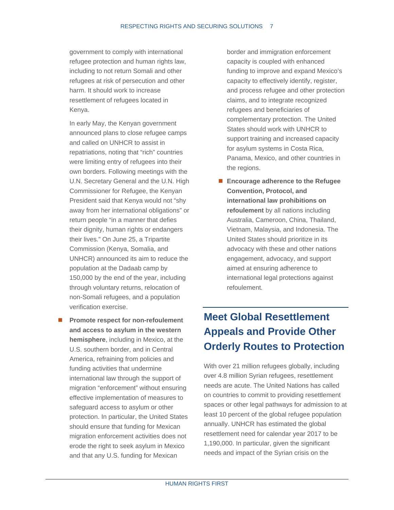government to comply with international refugee protection and human rights law, including to not return Somali and other refugees at risk of persecution and other harm. It should work to increase resettlement of refugees located in Kenya.

In early May, the Kenyan government announced plans to close refugee camps and called on UNHCR to assist in repatriations, noting that "rich" countries were limiting entry of refugees into their own borders. Following meetings with the U.N. Secretary General and the U.N. High Commissioner for Refugee, the Kenyan President said that Kenya would not "shy away from her international obligations" or return people "in a manner that defies their dignity, human rights or endangers their lives." On June 25, a Tripartite Commission (Kenya, Somalia, and UNHCR) [announced its aim](http://www.unhcr.org/en-us/news/press/2016/6/576ea0474/joint-communique-ministerial-tripartite-commission-voluntary-repatriation.html) to reduce the population at the Dadaab camp by 150,000 by the end of the year, including through voluntary returns, relocation of non-Somali refugees, and a population verification exercise.

 **Promote respect for non-refoulement and access to asylum in the western hemisphere**, including in Mexico, at the U.S. southern border, and in Central America, refraining from policies and funding activities that undermine international law through the support of migration "enforcement" without ensuring effective implementation of measures to safeguard access to asylum or other protection. In particular, the United States should ensure that funding for Mexican migration enforcement activities does not erode the right to seek asylum in Mexico and that any U.S. funding for Mexican

border and immigration enforcement capacity is coupled with enhanced funding to improve and expand Mexico's capacity to effectively identify, register, and process refugee and other protection claims, and to integrate recognized refugees and beneficiaries of complementary protection. The United States should work with UNHCR to support training and increased capacity for asylum systems in Costa Rica, Panama, Mexico, and other countries in the regions.

 **Encourage adherence to the Refugee Convention, Protocol, and international law prohibitions on refoulement** by all nations including Australia, Cameroon, China, Thailand, Vietnam, Malaysia, and Indonesia. The United States should prioritize in its advocacy with these and other nations engagement, advocacy, and support aimed at ensuring adherence to international legal protections against refoulement*.*

### <span id="page-10-0"></span>**Meet Global Resettlement Appeals and Provide Other Orderly Routes to Protection**

With over 21 million refugees globally, including over 4.8 million Syrian refugees, resettlement needs are acute. The United Nations has called on countries to commit to providing resettlement spaces or other legal pathways for admission to at least 10 percent of the global refugee population annually. UNHCR has estimated the global resettlement need for calendar year 2017 to be 1,190,000. In particular, given the significant needs and impact of the Syrian crisis on the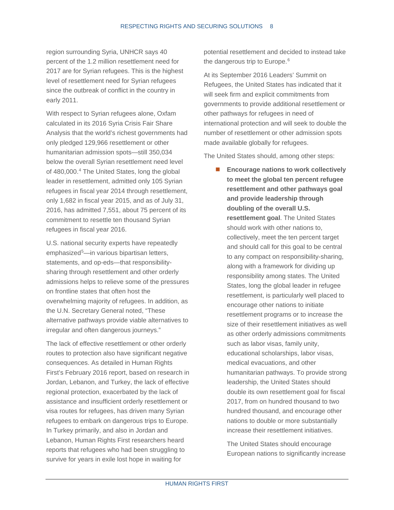region surrounding Syria, UNHCR says 40 percent of the 1.2 million resettlement need for 2017 are for Syrian refugees. This is the highest level of resettlement need for Syrian refugees since the outbreak of conflict in the country in early 2011.

With respect to Syrian refugees alone, Oxfam calculated in its 2016 Syria Crisis Fair Share Analysis that the world's richest governments had only pledged 129,966 resettlement or other humanitarian admission spots—still 350,034 below the overall Syrian resettlement need level of [4](#page-23-4)80,000.<sup>4</sup> The United States, long the global leader in resettlement, admitted only 105 Syrian refugees in fiscal year 2014 through resettlement, only 1,682 in fiscal year 2015, and as of July 31, 2016, has admitted 7,551, about 75 percent of its commitment to resettle ten thousand Syrian refugees in fiscal year 2016.

U.S. national security experts have repeatedly emphasized<sup>[5](#page-23-5)</sup>—in various bipartisan letters, statements, and op-eds—that responsibilitysharing through resettlement and other orderly admissions helps to relieve some of the pressures on frontline states that often host the overwhelming majority of refugees. In addition, as the U.N. Secretary General noted, "These alternative pathways provide viable alternatives to irregular and often dangerous journeys."

The lack of effective resettlement or other orderly routes to protection also have significant negative consequences. As detailed in Human Rights First's February 2016 report, based on research in Jordan, Lebanon, and Turkey, the lack of effective regional protection, exacerbated by the lack of assistance and insufficient orderly resettlement or visa routes for refugees, has driven many Syrian refugees to embark on dangerous trips to Europe. In Turkey primarily, and also in Jordan and Lebanon, Human Rights First researchers heard reports that refugees who had been struggling to survive for years in exile lost hope in waiting for

potential resettlement and decided to instead take the dangerous trip to Europe.<sup>[6](#page-23-6)</sup>

At its September 2016 Leaders' Summit on Refugees, the United States has indicated that it will seek firm and explicit commitments from governments to provide additional resettlement or other pathways for refugees in need of international protection and will seek to double the number of resettlement or other admission spots made available globally for refugees.

The United States should, among other steps:

■ Encourage nations to work collectively **to meet the global ten percent refugee resettlement and other pathways goal and provide leadership through doubling of the overall U.S. resettlement goal**. The United States should work with other nations to, collectively, meet the ten percent target and should call for this goal to be central to any compact on responsibility-sharing, along with a framework for dividing up responsibility among states. The United States, long the global leader in refugee resettlement, is particularly well placed to encourage other nations to initiate resettlement programs or to increase the size of their resettlement initiatives as well as other orderly admissions commitments such as labor visas, family unity, educational scholarships, labor visas, medical evacuations, and other humanitarian pathways. To provide strong leadership, the United States should double its own resettlement goal for fiscal 2017, from on hundred thousand to two hundred thousand, and encourage other nations to double or more substantially increase their resettlement initiatives.

The United States should encourage European nations to significantly increase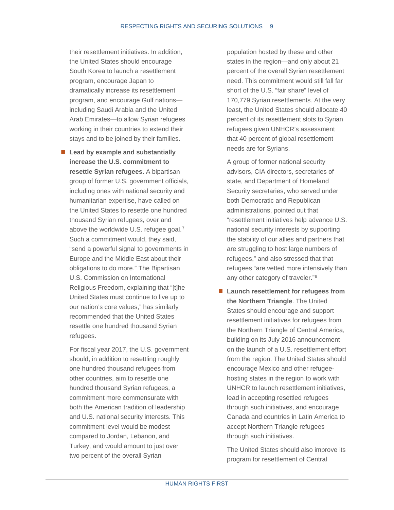their resettlement initiatives. In addition, the United States should encourage South Korea to launch a resettlement program, encourage Japan to dramatically increase its resettlement program, and encourage Gulf nations including Saudi Arabia and the United Arab Emirates—to allow Syrian refugees working in their countries to extend their stays and to be joined by their families.

■ Lead by example and substantially **increase the U.S. commitment to resettle Syrian refugees.** A bipartisan group of former U.S. government officials, including ones with national security and humanitarian expertise, have called on the United States to resettle one hundred thousand Syrian refugees, over and above the worldwide U.S. refugee goal.<sup>[7](#page-23-7)</sup> Such a commitment would, they said, "send a powerful signal to governments in Europe and the Middle East about their obligations to do more." The Bipartisan U.S. Commission on International Religious Freedom, explaining that "[t]he United States must continue to live up to our nation's core values," has similarly recommended that the United States resettle one hundred thousand Syrian refugees.

For fiscal year 2017, the U.S. government should, in addition to resettling roughly one hundred thousand refugees from other countries, aim to resettle one hundred thousand Syrian refugees, a commitment more commensurate with both the American tradition of leadership and U.S. national security interests. This commitment level would be modest compared to Jordan, Lebanon, and Turkey, and would amount to just over two percent of the overall Syrian

population hosted by these and other states in the region—and only about 21 percent of the overall Syrian resettlement need. This commitment would still fall far short of the U.S. "fair share" level of 170,779 Syrian resettlements. At the very least, the United States should allocate 40 percent of its resettlement slots to Syrian refugees given UNHCR's assessment that 40 percent of global resettlement needs are for Syrians.

A group of former national security advisors, CIA directors, secretaries of state, and Department of Homeland Security secretaries, who served under both Democratic and Republican administrations, pointed out that "resettlement initiatives help advance U.S. national security interests by supporting the stability of our allies and partners that are struggling to host large numbers of refugees," and also stressed that that refugees "are vetted more intensively than any other category of traveler."[8](#page-23-8)

■ Launch resettlement for refugees from **the Northern Triangle**. The United States should encourage and support resettlement initiatives for refugees from the Northern Triangle of Central America, building on its July 2016 announcement on the launch of a U.S. resettlement effort from the region. The United States should encourage Mexico and other refugeehosting states in the region to work with UNHCR to launch resettlement initiatives, lead in accepting resettled refugees through such initiatives, and encourage Canada and countries in Latin America to accept Northern Triangle refugees through such initiatives.

The United States should also improve its program for resettlement of Central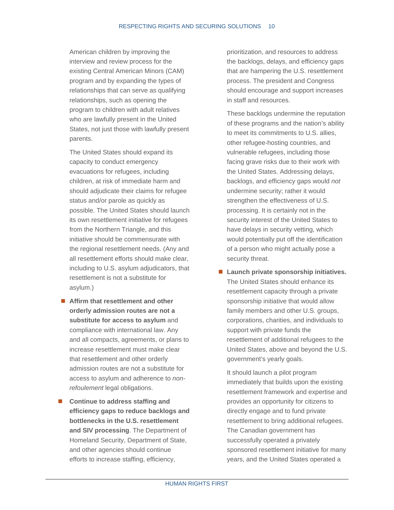American children by improving the interview and review process for the existing Central American Minors (CAM) program and by expanding the types of relationships that can serve as qualifying relationships, such as opening the program to children with adult relatives who are lawfully present in the United States, not just those with lawfully present parents.

The United States should expand its capacity to conduct emergency evacuations for refugees, including children, at risk of immediate harm and should adjudicate their claims for refugee status and/or parole as quickly as possible. The United States should launch its own resettlement initiative for refugees from the Northern Triangle, and this initiative should be commensurate with the regional resettlement needs. (Any and all resettlement efforts should make clear, including to U.S. asylum adjudicators, that resettlement is not a substitute for asylum.)

- Affirm that resettlement and other **orderly admission routes are not a substitute for access to asylum** and compliance with international law. Any and all compacts, agreements, or plans to increase resettlement must make clear that resettlement and other orderly admission routes are not a substitute for access to asylum and adherence to *nonrefoulement* legal obligations.
- Continue to address staffing and **efficiency gaps to reduce backlogs and bottlenecks in the U.S. resettlement and SIV processing**. The Department of Homeland Security, Department of State, and other agencies should continue efforts to increase staffing, efficiency,

prioritization, and resources to address the backlogs, delays, and efficiency gaps that are hampering the U.S. resettlement process. The president and Congress should encourage and support increases in staff and resources.

These backlogs undermine the reputation of these programs and the nation's ability to meet its commitments to U.S. allies, other refugee-hosting countries, and vulnerable refugees, including those facing grave risks due to their work with the United States. Addressing delays, backlogs, and efficiency gaps would *not*  undermine security; rather it would strengthen the effectiveness of U.S. processing. It is certainly not in the security interest of the United States to have delays in security vetting, which would potentially put off the identification of a person who might actually pose a security threat.

■ Launch private sponsorship initiatives. The United States should enhance its resettlement capacity through a private sponsorship initiative that would allow family members and other U.S. groups, corporations, charities, and individuals to support with private funds the resettlement of additional refugees to the United States, above and beyond the U.S. government's yearly goals.

It should launch a pilot program immediately that builds upon the existing resettlement framework and expertise and provides an opportunity for citizens to directly engage and to fund private resettlement to bring additional refugees. The Canadian government has successfully operated a privately sponsored resettlement initiative for many years, and the United States operated a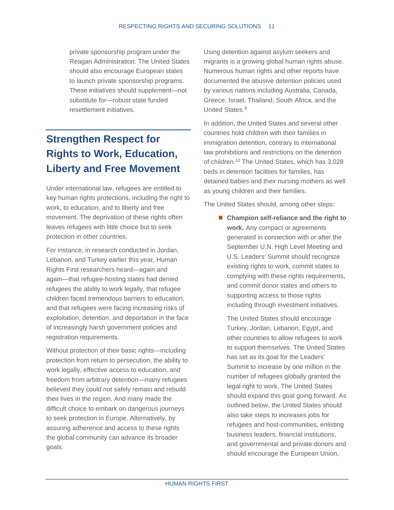private sponsorship program under the Reagan Administration. The United States should also encourage European states to launch private sponsorship programs. These initiatives should supplement—not substitute for—robust state funded resettlement initiatives.

## <span id="page-14-0"></span>**Strengthen Respect for Rights to Work, Education, Liberty and Free Movement**

Under international law, refugees are entitled to key human rights protections, including the right to work, to education, and to liberty and free movement. The deprivation of these rights often leaves refugees with little choice but to seek protection in other countries.

For instance, in research conducted in Jordan, Lebanon, and Turkey earlier this year, Human Rights First researchers heard—again and again—that refugee-hosting states had denied refugees the ability to work legally, that refugee children faced tremendous barriers to education, and that refugees were facing increasing risks of exploitation, detention, and deportation in the face of increasingly harsh government policies and registration requirements.

Without protection of their basic rights—including protection from return to persecution, the ability to work legally, effective access to education, and freedom from arbitrary detention—many refugees believed they could not safely remain and rebuild their lives in the region. And many made the difficult choice to embark on dangerous journeys to seek protection in Europe. Alternatively, by assuring adherence and access to these rights the global community can advance its broader goals.

Using detention against asylum seekers and migrants is a growing global human rights abuse. Numerous human rights and other reports have documented the abusive detention policies used by various nations including Australia, Canada, Greece, Israel, Thailand, South Africa, and the United States.[9](#page-23-9)

In addition, the United States and several other countries hold children with their families in immigration detention, contrary to international law prohibitions and restrictions on the detention of children. [10](#page-23-10) The United States, which has 3,028 beds in detention facilities for families, has detained babies and their nursing mothers as well as young children and their families.

The United States should, among other steps:

■ Champion self-reliance and the right to **work.** Any compact or agreements generated in connection with or after the September U.N. High Level Meeting and U.S. Leaders' Summit should recognize existing rights to work, commit states to complying with these rights requirements, and commit donor states and others to supporting access to those rights including through investment initiatives.

The United States should encourage Turkey, Jordan, Lebanon, Egypt, and other countries to allow refugees to work to support themselves. The United States has set as its goal for the Leaders' Summit to increase by one million in the number of refugees globally granted the legal right to work. The United States should expand this goal going forward. As outlined below, the United States should also take steps to increases jobs for refugees and host-communities, enlisting business leaders, financial institutions, and governmental and private donors and should encourage the European Union,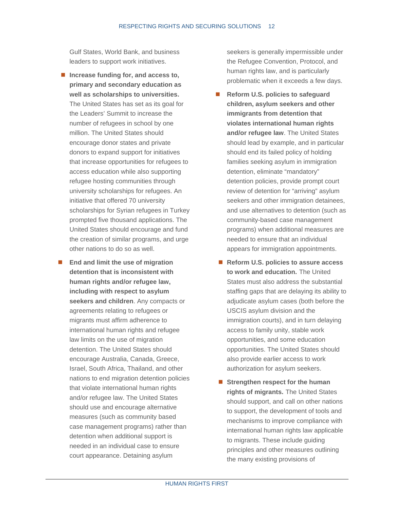Gulf States, World Bank, and business leaders to support work initiatives.

- Increase funding for, and **access** to, **primary and secondary education as well as scholarships to universities.**  The United States has set as its goal for the Leaders' Summit to increase the number of refugees in school by one million. The United States should encourage donor states and private donors to expand support for initiatives that increase opportunities for refugees to access education while also supporting refugee hosting communities through university scholarships for refugees. An initiative that offered 70 university scholarships for Syrian refugees in Turkey prompted five thousand applications. The United States should encourage and fund the creation of similar programs, and urge other nations to do so as well.
- End and limit the use of migration **detention that is inconsistent with human rights and/or refugee law, including with respect to asylum seekers and children**. Any compacts or agreements relating to refugees or migrants must affirm adherence to international human rights and refugee law limits on the use of migration detention. The United States should encourage Australia, Canada, Greece, Israel, South Africa, Thailand, and other nations to end migration detention policies that violate international human rights and/or refugee law. The United States should use and encourage alternative measures (such as community based case management programs) rather than detention when additional support is needed in an individual case to ensure court appearance. Detaining asylum

seekers is generally impermissible under the Refugee Convention, Protocol, and human rights law, and is particularly problematic when it exceeds a few days.

- **Reform U.S. policies to safeguard children, asylum seekers and other immigrants from detention that violates international human rights and/or refugee law**. The United States should lead by example, and in particular should end its failed policy of holding families seeking asylum in immigration detention, eliminate "mandatory" detention policies, provide prompt court review of detention for "arriving" asylum seekers and other immigration detainees, and use alternatives to detention (such as community-based case management programs) when additional measures are needed to ensure that an individual appears for immigration appointments.
- Reform U.S. policies to assure access **to work and education.** The United States must also address the substantial staffing gaps that are delaying its ability to adjudicate asylum cases (both before the USCIS asylum division and the immigration courts), and in turn delaying access to family unity, stable work opportunities, and some education opportunities. The United States should also provide earlier access to work authorization for asylum seekers.
- **Strengthen respect for the human rights of migrants.** The United States should support, and call on other nations to support, the development of tools and mechanisms to improve compliance with international human rights law applicable to migrants. These include guiding principles and other measures outlining the many existing provisions of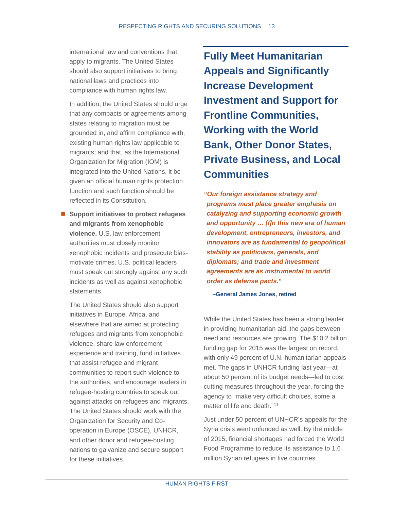international law and conventions that apply to migrants. The United States should also support initiatives to bring national laws and practices into compliance with human rights law.

In addition, the United States should urge that any compacts or agreements among states relating to migration must be grounded in, and affirm compliance with, existing human rights law applicable to migrants; and that, as the International Organization for Migration (IOM) is integrated into the United Nations, it be given an official human rights protection function and such function should be reflected in its Constitution.

■ Support initiatives to protect refugees **and migrants from xenophobic violence.** U.S. law enforcement authorities must closely monitor xenophobic incidents and prosecute biasmotivate crimes. U.S. political leaders must speak out strongly against any such incidents as well as against xenophobic statements.

The United States should also support initiatives in Europe, Africa, and elsewhere that are aimed at protecting refugees and migrants from xenophobic violence, share law enforcement experience and training, fund initiatives that assist refugee and migrant communities to report such violence to the authorities, and encourage leaders in refugee-hosting countries to speak out against attacks on refugees and migrants. The United States should work with the Organization for Security and Cooperation in Europe (OSCE), UNHCR, and other donor and refugee-hosting nations to galvanize and secure support for these initiatives.

<span id="page-16-0"></span>**Fully Meet Humanitarian Appeals and Significantly Increase Development Investment and Support for Frontline Communities, Working with the World Bank, Other Donor States, Private Business, and Local Communities** 

*"Our foreign assistance strategy and programs must place greater emphasis on catalyzing and supporting economic growth and opportunity … [I]n this new era of human development, entrepreneurs, investors, and innovators are as fundamental to geopolitical stability as politicians, generals, and diplomats; and trade and investment agreements are as instrumental to world order as defense pacts***."**

**–General James Jones, retired**

While the United States has been a strong leader in providing humanitarian aid, the gaps between need and resources are growing. The \$10.2 billion funding gap for 2015 was the largest on record, with only 49 percent of U.N. humanitarian appeals met. The gaps in UNHCR funding last year—at about 50 percent of its budget needs—led to cost cutting measures throughout the year, forcing the agency to "make very difficult choices, some a matter of life and death."<sup>[11](#page-23-11)</sup>

Just under 50 percent of UNHCR's appeals for the Syria crisis went unfunded as well. By the middle of 2015, financial shortages had forced the World Food Programme to reduce its assistance to 1.6 million Syrian refugees in five countries.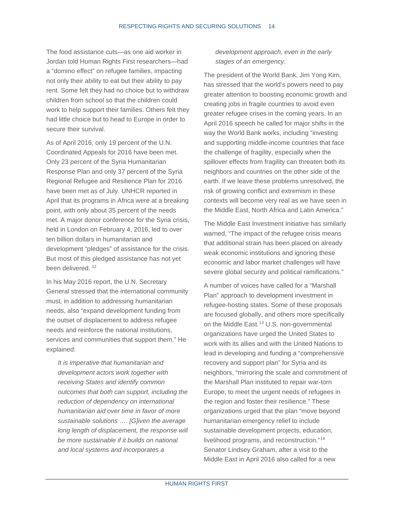The food assistance cuts—as one aid worker in Jordan told Human Rights First researchers—had a "domino effect" on refugee families, impacting not only their ability to eat but their ability to pay rent. Some felt they had no choice but to withdraw children from school so that the children could work to help support their families. Others felt they had little choice but to head to Europe in order to secure their survival.

As of April 2016, only 19 percent of the U.N. Coordinated Appeals for 2016 have been met. Only 23 percent of the Syria Humanitarian Response Plan and only 37 percent of the Syria Regional Refugee and Resilience Plan for 2016 have been met as of July. UNHCR reported in April that its programs in Africa were at a breaking point, with only about 35 percent of the needs met. A major donor conference for the Syria crisis, held in London on February 4, 2016, led to over ten billion dollars in humanitarian and development "pledges" of assistance for the crisis. But most of this pledged assistance has not yet been delivered.<sup>[12](#page-24-0)</sup>

In his May 2016 report, the U.N. Secretary General stressed that the international community must, in addition to addressing humanitarian needs, also "expand development funding from the outset of displacement to address refugee needs and reinforce the national institutions, services and communities that support them." He explained:

*It is imperative that humanitarian and development actors work together with receiving States and identify common outcomes that both can support, including the reduction of dependency on international humanitarian aid over time in favor of more sustainable solutions …. [G]iven the average long length of displacement, the response will be more sustainable if it builds on national and local systems and incorporates a* 

*development approach, even in the early stages of an emergency.* 

The president of the World Bank, Jim Yong Kim, has stressed that the world's powers need to pay greater attention to boosting economic growth and creating jobs in fragile countries to avoid even greater refugee crises in the coming years. In an April 2016 speech he called for major shifts in the way the World Bank works, including "investing and supporting middle-income countries that face the challenge of fragility, especially when the spillover effects from fragility can threaten both its neighbors and countries on the other side of the earth. If we leave these problems unresolved, the risk of growing conflict and extremism in these contexts will become very real as we have seen in the Middle East, North Africa and Latin America."

The Middle East Investment Initiative has similarly warned, "The impact of the refugee crisis means that additional strain has been placed on already weak economic institutions and ignoring these economic and labor market challenges will have severe global security and political ramifications."

A number of voices have called for a "Marshall Plan" approach to development investment in refugee-hosting states. Some of these proposals are focused globally, and others more specifically on the Middle East.<sup>[13](#page-24-1)</sup> U.S. non-governmental organizations have urged the United States to work with its allies and with the United Nations to lead in developing and funding a "comprehensive recovery and support plan" for Syria and its neighbors, "mirroring the scale and commitment of the Marshall Plan instituted to repair war-torn Europe, to meet the urgent needs of refugees in the region and foster their resilience." These organizations urged that the plan "move beyond humanitarian emergency relief to include sustainable development projects, education, livelihood programs, and reconstruction."[14](#page-24-2) Senator Lindsey Graham, after a visit to the Middle East in April 2016 also called for a new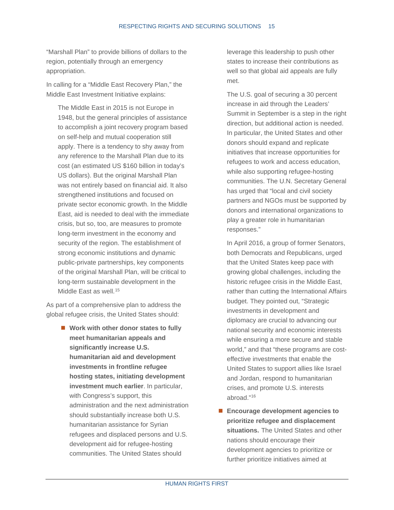"Marshall Plan" to provide billions of dollars to the region, potentially through an emergency appropriation.

In calling for a "Middle East Recovery Plan," the Middle East Investment Initiative explains:

The Middle East in 2015 is not Europe in 1948, but the general principles of assistance to accomplish a joint recovery program based on self-help and mutual cooperation still apply. There is a tendency to shy away from any reference to the Marshall Plan due to its cost (an estimated US \$160 billion in today's US dollars). But the original Marshall Plan was not entirely based on financial aid. It also strengthened institutions and focused on private sector economic growth. In the Middle East, aid is needed to deal with the immediate crisis, but so, too, are measures to promote long-term investment in the economy and security of the region. The establishment of strong economic institutions and dynamic public-private partnerships, key components of the original Marshall Plan, will be critical to long-term sustainable development in the Middle East as well.<sup>[15](#page-24-3)</sup>

As part of a comprehensive plan to address the global refugee crisis, the United States should:

> ■ Work with other donor states to fully **meet humanitarian appeals and significantly increase U.S. humanitarian aid and development investments in frontline refugee hosting states, initiating development investment much earlier**. In particular, with Congress's support, this administration and the next administration should substantially increase both U.S. humanitarian assistance for Syrian refugees and displaced persons and U.S. development aid for refugee-hosting communities. The United States should

leverage this leadership to push other states to increase their contributions as well so that global aid appeals are fully met.

The U.S. goal of securing a 30 percent increase in aid through the Leaders' Summit in September is a step in the right direction, but additional action is needed. In particular, the United States and other donors should expand and replicate initiatives that increase opportunities for refugees to work and access education, while also supporting refugee-hosting communities. The U.N. Secretary General has urged that "local and civil society partners and NGOs must be supported by donors and international organizations to play a greater role in humanitarian responses."

In April 2016, a group of former Senators, both Democrats and Republicans, urged that the United States keep pace with growing global challenges, including the historic refugee crisis in the Middle East, rather than cutting the International Affairs budget. They pointed out, "Strategic investments in development and diplomacy are crucial to advancing our national security and economic interests while ensuring a more secure and stable world," and that "these programs are costeffective investments that enable the United States to support allies like Israel and Jordan, respond to humanitarian crises, and promote U.S. interests abroad."[16](#page-24-4)

■ Encourage development agencies to **prioritize refugee and displacement situations.** The United States and other nations should encourage their development agencies to prioritize or further prioritize initiatives aimed at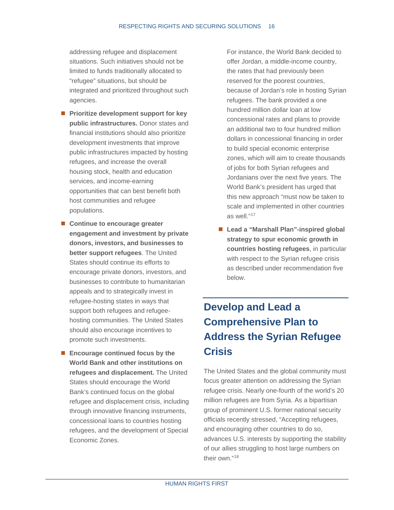addressing refugee and displacement situations. Such initiatives should not be limited to funds traditionally allocated to "refugee" situations, but should be integrated and prioritized throughout such agencies.

- **Prioritize development support for key public infrastructures.** Donor states and financial institutions should also prioritize development investments that improve public infrastructures impacted by hosting refugees, and increase the overall housing stock, health and education services, and income-earning opportunities that can best benefit both host communities and refugee populations.
- Continue to encourage greater **engagement and investment by private donors, investors, and businesses to better support refugees**. The United States should continue its efforts to encourage private donors, investors, and businesses to contribute to humanitarian appeals and to strategically invest in refugee-hosting states in ways that support both refugees and refugeehosting communities. The United States should also encourage incentives to promote such investments.
- Encourage continued focus by the **World Bank and other institutions on refugees and displacement.** The United States should encourage the World Bank's continued focus on the global refugee and displacement crisis, including through innovative financing instruments, concessional loans to countries hosting refugees, and the development of Special Economic Zones.

For instance, the World Bank decided to offer Jordan, a middle-income country, the rates that had previously been reserved for the poorest countries, because of Jordan's role in hosting Syrian refugees. The bank provided a one hundred million dollar loan at low concessional rates and plans to provide an additional two to four hundred million dollars in concessional financing in order to build special economic enterprise zones, which will aim to create thousands of jobs for both Syrian refugees and Jordanians over the next five years. The World Bank's president has urged that this new approach "must now be taken to scale and implemented in other countries as well."[17](#page-24-5)

■ Lead a "Marshall Plan"-inspired global **strategy to spur economic growth in countries hosting refugees**, in particular with respect to the Syrian refugee crisis as described under recommendation five below.

### <span id="page-19-0"></span>**Develop and Lead a Comprehensive Plan to Address the Syrian Refugee Crisis**

The United States and the global community must focus greater attention on addressing the Syrian refugee crisis. Nearly one-fourth of the world's 20 million refugees are from Syria. As a bipartisan group of prominent U.S. former national security officials recently stressed, "Accepting refugees, and encouraging other countries to do so, advances U.S. interests by supporting the stability of our allies struggling to host large numbers on their own "[18](#page-24-6)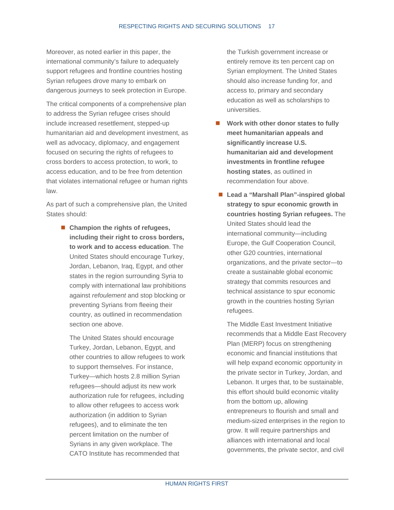Moreover, as noted earlier in this paper, the international community's failure to adequately support refugees and frontline countries hosting Syrian refugees drove many to embark on dangerous journeys to seek protection in Europe.

The critical components of a comprehensive plan to address the Syrian refugee crises should include increased resettlement, stepped-up humanitarian aid and development investment, as well as advocacy, diplomacy, and engagement focused on securing the rights of refugees to cross borders to access protection, to work, to access education, and to be free from detention that violates international refugee or human rights law.

As part of such a comprehensive plan, the United States should:

> ■ Champion the rights of refugees, **including their right to cross borders, to work and to access education**. The United States should encourage Turkey, Jordan, Lebanon, Iraq, Egypt, and other states in the region surrounding Syria to comply with international law prohibitions against *refoulement* and stop blocking or preventing Syrians from fleeing their country, as outlined in recommendation section one above.

The United States should encourage Turkey, Jordan, Lebanon, Egypt, and other countries to allow refugees to work to support themselves. For instance, Turkey—which hosts 2.8 million Syrian refugees—should adjust its new work authorization rule for refugees, including to allow other refugees to access work authorization (in addition to Syrian refugees), and to eliminate the ten percent limitation on the number of Syrians in any given workplace. The CATO Institute has recommended that

the Turkish government increase or entirely remove its ten percent cap on Syrian employment. The United States should also increase funding for, and access to, primary and secondary education as well as scholarships to universities.

- **Work with other donor states to fully meet humanitarian appeals and significantly increase U.S. humanitarian aid and development investments in frontline refugee hosting states**, as outlined in recommendation four above.
- Lead a "Marshall Plan"-inspired global **strategy to spur economic growth in countries hosting Syrian refugees.** The United States should lead the international community—including Europe, the Gulf Cooperation Council, other G20 countries, international organizations, and the private sector—to create a sustainable global economic strategy that commits resources and technical assistance to spur economic growth in the countries hosting Syrian refugees.

The Middle East Investment Initiative recommends that a Middle East Recovery Plan (MERP) focus on strengthening economic and financial institutions that will help expand economic opportunity in the private sector in Turkey, Jordan, and Lebanon. It urges that, to be sustainable, this effort should build economic vitality from the bottom up, allowing entrepreneurs to flourish and small and medium-sized enterprises in the region to grow. It will require partnerships and alliances with international and local governments, the private sector, and civil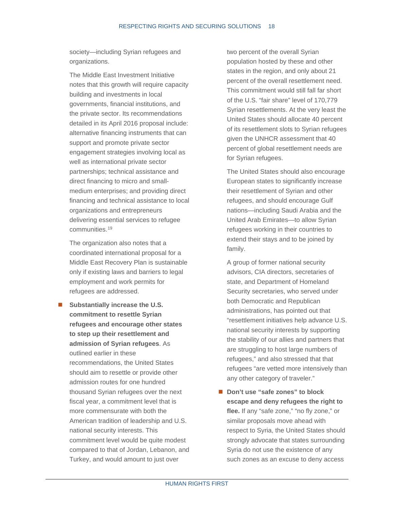society—including Syrian refugees and organizations.

The Middle East Investment Initiative notes that this growth will require capacity building and investments in local governments, financial institutions, and the private sector. Its recommendations detailed in its April 2016 proposal include: alternative financing instruments that can support and promote private sector engagement strategies involving local as well as international private sector partnerships; technical assistance and direct financing to micro and smallmedium enterprises; and providing direct financing and technical assistance to local organizations and entrepreneurs delivering essential services to refugee communities.[19](#page-24-7)

The organization also notes that a coordinated international proposal for a Middle East Recovery Plan is sustainable only if existing laws and barriers to legal employment and work permits for refugees are addressed.

 **Substantially increase the U.S. commitment to resettle Syrian refugees and encourage other states to step up their resettlement and admission of Syrian refugees**. As outlined earlier in these recommendations, the United States should aim to resettle or provide other admission routes for one hundred thousand Syrian refugees over the next fiscal year, a commitment level that is more commensurate with both the American tradition of leadership and U.S. national security interests. This commitment level would be quite modest compared to that of Jordan, Lebanon, and Turkey, and would amount to just over

two percent of the overall Syrian population hosted by these and other states in the region, and only about 21 percent of the overall resettlement need. This commitment would still fall far short of the U.S. "fair share" level of 170,779 Syrian resettlements. At the very least the United States should allocate 40 percent of its resettlement slots to Syrian refugees given the UNHCR assessment that 40 percent of global resettlement needs are for Syrian refugees.

The United States should also encourage European states to significantly increase their resettlement of Syrian and other refugees, and should encourage Gulf nations—including Saudi Arabia and the United Arab Emirates—to allow Syrian refugees working in their countries to extend their stays and to be joined by family.

A group of former national security advisors, CIA directors, secretaries of state, and Department of Homeland Security secretaries, who served under both Democratic and Republican administrations, has pointed out that "resettlement initiatives help advance U.S. national security interests by supporting the stability of our allies and partners that are struggling to host large numbers of refugees," and also stressed that that refugees "are vetted more intensively than any other category of traveler."

■ Don't use "safe zones" to block **escape and deny refugees the right to flee.** If any "safe zone," "no fly zone," or similar proposals move ahead with respect to Syria, the United States should strongly advocate that states surrounding Syria do not use the existence of any such zones as an excuse to deny access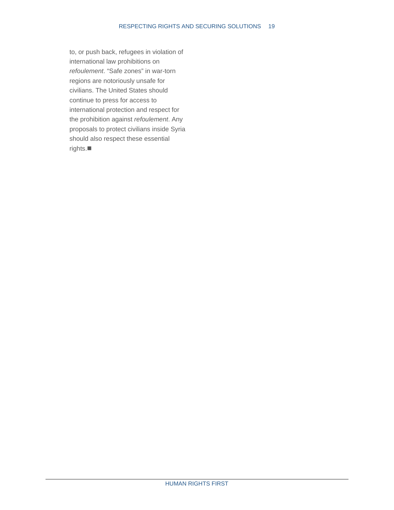to, or push back, refugees in violation of international law prohibitions on *refoulement*. "Safe zones" in war-torn regions are notoriously unsafe for civilians. The United States should continue to press for access to international protection and respect for the prohibition against *refoulement*. Any proposals to protect civilians inside Syria should also respect these essential rights.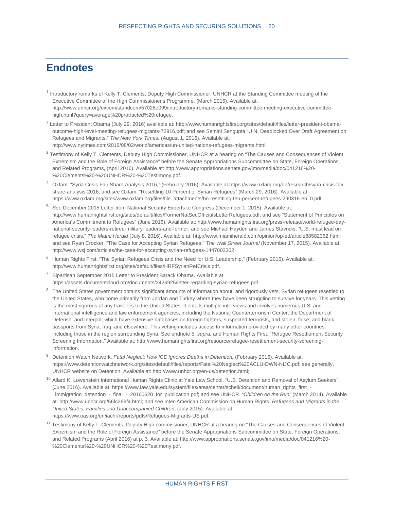#### <span id="page-23-0"></span>**Endnotes**

- <span id="page-23-1"></span><sup>1</sup> Introductory remarks of Kelly T. Clements, Deputy High Commissioner, UNHCR at the Standing Committee meeting of the Executive Committee of the High Commissioner's Programme, (March 2016). Available at: http://www.unhcr.org/excom/standcom/57026e099/introductory-remarks-standing-committee-meeting-executive-committeehigh.html?query=average%20protracted%20refugee.
- <span id="page-23-2"></span><sup>2</sup> Letter to President Obama (July 29, 2016) available at[: http://www.humanrightsfirst.org/sites/default/files/letter-president-obama](http://www.humanrightsfirst.org/sites/default/files/letter-president-obama-outcome-high-level-meeting-refugees-migrants-72916.pdf)[outcome-high-level-meeting-refugees-migrants-72916.pdf;](http://www.humanrightsfirst.org/sites/default/files/letter-president-obama-outcome-high-level-meeting-refugees-migrants-72916.pdf) and see Semini Sengupta "U.N. Deadlocked Over Draft Agreement on Refugees and Migrants," *The New York Times,* (August 1, 2016). Available at: http://www.nytimes.com/2016/08/02/world/americas/un-united-nations-refugees-migrants.html.
- <span id="page-23-3"></span><sup>3</sup> Testimony of Kelly T. Clements, Deputy High Commissioner, UNHCR at a hearing on "The Causes and Consequences of Violent Extremism and the Role of Foreign Assistance" before the Senate Appropriations Subcommittee on State, Foreign Operations, and Related Programs, (April 2016). Available at: http://www.appropriations.senate.gov/imo/media/doc/041216%20- %20Clements%20-%20UNHCR%20-%20Testimony.pdf.
- <span id="page-23-4"></span><sup>4</sup> Oxfam. "Syria Crisis Fair Share Analysis 2016," (February 2016). Available at [https://www.oxfam.org/en/research/syria-crisis-fair](https://www.oxfam.org/en/research/syria-crisis-fair-share-analysis-2016)[share-analysis-2016;](https://www.oxfam.org/en/research/syria-crisis-fair-share-analysis-2016) and see Oxfam. "Resettling 10 Percent of Syrian Refugees" (March 29, 2016). Available at: https://www.oxfam.org/sites/www.oxfam.org/files/file\_attachments/bn-resettling-ten-percent-refugees-290316-en\_0.pdf.
- <span id="page-23-5"></span><sup>5</sup> *See* December 2015 Letter from National Security Experts to Congress (December 1, 2015). Available at: [http://www.humanrightsfirst.org/sites/default/files/FormerNatSecOfficialsLetterRefugees.pdf;](http://www.humanrightsfirst.org/sites/default/files/FormerNatSecOfficialsLetterRefugees.pdf) and see "Statement of Principles on America's Commitment to Refugees" (June 2016). Available at[: http://www.humanrightsfirst.org/press-release/world-refugee-day](http://www.humanrightsfirst.org/press-release/world-refugee-day-national-security-leaders-retired-military-leaders-and-former)[national-security-leaders-retired-military-leaders-and-former;](http://www.humanrightsfirst.org/press-release/world-refugee-day-national-security-leaders-retired-military-leaders-and-former) and see Michael Hayden and James Stavridis, "U.S. must lead on refugee crisis," *The Miami Herald* (July 8, 2016). Available at: [http://www.miamiherald.com/opinion/op-ed/article88582362.html;](http://www.miamiherald.com/opinion/op-ed/article88582362.html)  and see Ryan Crocker, "The Case for Accepting Syrian Refugees," *The Wall Street Journal* (November 17, 2015). Available at: http://www.wsj.com/articles/the-case-for-accepting-syrian-refugees-1447803302.
- <span id="page-23-6"></span><sup>6</sup> Human Rights First. "The Syrian Refugees Crisis and the Need for U.S. Leadership," (February 2016). Available at: http://www.humanrightsfirst.org/sites/default/files/HRFSyrianRefCrisis.pdf.
- <span id="page-23-7"></span> $7$  Bipartisan September 2015 Letter to President Barack Obama. Available at: https://assets.documentcloud.org/documents/2426925/letter-regarding-syrian-refugees.pdf.
- <span id="page-23-8"></span><sup>8</sup> The United States government obtains significant amounts of information about, and rigorously vets, Syrian refugees resettled to the United States, who come primarily from Jordan and Turkey where they have been struggling to survive for years. This vetting is the most rigorous of any travelers to the United States. It entails multiple interviews and involves numerous U.S. and international intelligence and law enforcement agencies, including the National Counterterrorism Center, the Department of Defense, and Interpol, which have extensive databases on foreign fighters, suspected terrorists, and stolen, false, and blank passports from Syria, Iraq, and elsewhere. This vetting includes access to information provided by many other countries, including those in the region surrounding Syria. See endnote 5, *supra,* and Human Rights First, "Refugee Resettlement Security Screening Information." Available at: http://www.humanrightsfirst.org/resource/refugee-resettlement-security-screeninginformation.
- <span id="page-23-9"></span><sup>9</sup> Detention Watch Network. *Fatal Neglect: How ICE Ignores Deaths in Detention,* (February 2016). Available at: https://www.detentionwatchnetwork.org/sites/default/files/reports/Fatal%20Neglect%20ACLU-DWN-NIJC.pdf; see generally, UNHCR website on Detention. Available at[: http://www.unhcr.org/en-us/detention.html;](http://www.unhcr.org/en-us/detention.html)
- <span id="page-23-10"></span><sup>10</sup> Allard K. Lowenstein International Human Rights Clinic at Yale Law School. "U.S. Detention and Removal of Asylum Seekers" (June 2016). Available at[: https://www.law.yale.edu/system/files/area/center/schell/document/human\\_rights\\_first\\_-](https://www.law.yale.edu/system/files/area/center/schell/document/human_rights_first_-_immigration_detention_-_final_-_20160620_for_publication.pdf) [\\_immigration\\_detention\\_-\\_final\\_-\\_20160620\\_for\\_publication.pdf;](https://www.law.yale.edu/system/files/area/center/schell/document/human_rights_first_-_immigration_detention_-_final_-_20160620_for_publication.pdf) and see UNHCR. "*Children on the Run"* (March 2014). Available at: http://www.unhcr.org/56fc266f4.html; and see Inter-American Commission on Human Rights, *Refugees and Migrants in the United States: Families and Unaccompanied Children*, (July 2015). Available at: https://www.oas.org/en/iachr/reports/pdfs/Refugees-Migrants-US.pdf.
- <span id="page-23-11"></span><sup>11</sup> Testimony of Kelly T. Clements, Deputy High commissioner, UNHCR at a hearing on "The Causes and Consequences of Violent Extremism and the Role of Foreign Assistance" before the Senate Appropriations Subcommittee on State, Foreign Operations, and Related Programs (April 2016) at p. 3. Available at: http://www.appropriations.senate.gov/imo/media/doc/041216%20- %20Clements%20-%20UNHCR%20-%20Testimony.pdf.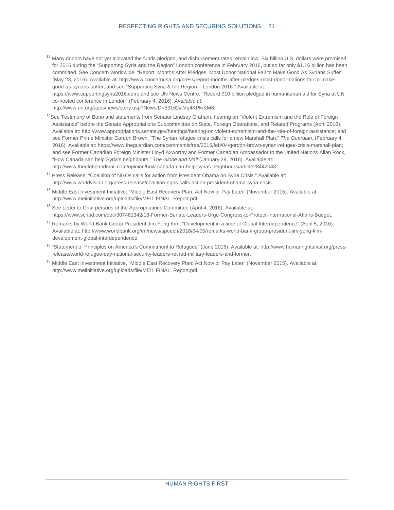#### RESPECTING RIGHTS AND SECURING SOLUTIONS 21

<span id="page-24-0"></span><sup>12</sup> Many donors have not yet allocated the funds pledged, and disbursement rates remain low. Six billion U.S. dollars were promised for 2016 during the "Supporting Syria and the Region" London conference in February 2016, but so far only \$1.16 billion has been committed. See Concern Worldwide. "Report, Months After Pledges, Most Donor National Fail to Make Good As Syrians Suffer" (May 23, 2016). Available at[: http://www.concernusa.org/press/report-months-after-pledges-most-donor-nations-fail-to-make](http://www.concernusa.org/press/report-months-after-pledges-most-donor-nations-fail-to-make-good-as-syrians-suffer/)[good-as-syrians-suffer;](http://www.concernusa.org/press/report-months-after-pledges-most-donor-nations-fail-to-make-good-as-syrians-suffer/) and see "Supporting Syria & the Region – London 2016." Available at:

[https://www.supportingsyria2016.com;](https://www.supportingsyria2016.com/) and see UN News Centre. "Record \$10 billion pledged in humanitarian aid for Syria at UN co-hosted conference in London" (February 4, 2016)*. Available at*:

[http://www.un.org/apps/news/story.asp?NewsID=53162#.Vrj4KPkrKM8.](http://www.un.org/apps/news/story.asp?NewsID=53162#.Vrj4KPkrKM8)

- <span id="page-24-1"></span><sup>13</sup>See Testimony of Bono and statements from Senator Lindsey Graham, hearing on "Violent Extremism and the Role of Foreign Assistance" before the Senate Appropriations Subcommittee on State, Foreign Operations, and Related Programs (April 2016). Available at: [http://www.appropriations.senate.gov/hearings/hearing-on-violent-extremism-and-the-role-of-foreign-assistance;](http://www.appropriations.senate.gov/hearings/hearing-on-violent-extremism-and-the-role-of-foreign-assistance) and see Former Prime Minister Gordon Brown, "The Syrian refugee crisis calls for a new Marshall Plan," *The Guardian,* (February 4, 2016). Available at: [https://www.theguardian.com/commentisfree/2016/feb/04/gordon-brown-syrian-refugee-crisis-marshall-plan;](https://www.theguardian.com/commentisfree/2016/feb/04/gordon-brown-syrian-refugee-crisis-marshall-plan)  and see Former Canadian Foreign Minister Lloyd Axworthy and Former Canadian Ambassador to the United Nations Allan Rock, "How Canada can help Syria's neighbours." *The Globe and Mail* (January 29, 2016). Available at: http://www.theglobeandmail.com/opinion/how-canada-can-help-syrias-neighbours/article28442043.
- <span id="page-24-2"></span><sup>14</sup> Press Release, "Coalition of NGOs calls for action from President Obama on Syria Crisis." Available at: http://www.worldvision.org/press-release/coalition-ngos-calls-action-president-obama-syria-crisis.
- <span id="page-24-3"></span><sup>15</sup> Middle East Investment Initiative, "Middle East Recovery Plan: Act Now or Pay Later" (November 2015). Available at: http://www.meiinitiative.org/uploads/file/MEII\_FINAL\_Report.pdf.
- <span id="page-24-4"></span><sup>16</sup> See Letter to Chairpersons of the Appropriations Committee (April 4, 2016). Available at: [https://www.scribd.com/doc/307461342/18-Former-Senate-Leaders-Urge-Congress-to-Protect-International-Affairs-Budget.](https://www.scribd.com/doc/307461342/18-Former-Senate-Leaders-Urge-Congress-to-Protect-International-Affairs-Budget)
- <span id="page-24-5"></span><sup>17</sup> Remarks by World Bank Group President Jim Yong Kim: "Development in a time of Global Interdependence" (April 5, 2016). Available at: http://www.worldbank.org/en/news/speech/2016/04/05/remarks-world-bank-group-president-jim-yong-kimdevelopment-global-interdependence.
- <span id="page-24-6"></span><sup>18</sup> "Statement of Principles on America's Commitment to Refugees" (June 2016). Available at: [http://www.humanrightsfirst.org/press](http://www.humanrightsfirst.org/press-release/world-refugee-day-national-security-leaders-retired-military-leaders-and-former)[release/world-refugee-day-national-security-leaders-retired-military-leaders-and-former.](http://www.humanrightsfirst.org/press-release/world-refugee-day-national-security-leaders-retired-military-leaders-and-former)
- <span id="page-24-7"></span><sup>19</sup> Middle East Investment Initiative, "Middle East Recovery Plan: Act Now or Pay Later" (November 2015). Available at: http://www.meiinitiative.org/uploads/file/MEII\_FINAL\_Report.pdf.